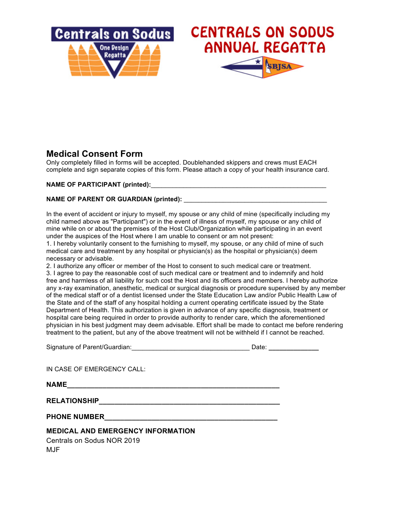

## **Medical Consent Form**

Only completely filled in forms will be accepted. Doublehanded skippers and crews must EACH complete and sign separate copies of this form. Please attach a copy of your health insurance card.

**NAME OF PARTICIPANT** (printed):

## **NAME OF PARENT OR GUARDIAN (printed):**  $\blacksquare$

In the event of accident or injury to myself, my spouse or any child of mine (specifically including my child named above as "Participant") or in the event of illness of myself, my spouse or any child of mine while on or about the premises of the Host Club/Organization while participating in an event under the auspices of the Host where I am unable to consent or am not present:

1. I hereby voluntarily consent to the furnishing to myself, my spouse, or any child of mine of such medical care and treatment by any hospital or physician(s) as the hospital or physician(s) deem necessary or advisable.

2. I authorize any officer or member of the Host to consent to such medical care or treatment. 3. I agree to pay the reasonable cost of such medical care or treatment and to indemnify and hold free and harmless of all liability for such cost the Host and its officers and members. I hereby authorize any x-ray examination, anesthetic, medical or surgical diagnosis or procedure supervised by any member of the medical staff or of a dentist licensed under the State Education Law and/or Public Health Law of the State and of the staff of any hospital holding a current operating certificate issued by the State Department of Health. This authorization is given in advance of any specific diagnosis, treatment or

hospital care being required in order to provide authority to render care, which the aforementioned physician in his best judgment may deem advisable. Effort shall be made to contact me before rendering treatment to the patient, but any of the above treatment will not be withheld if I cannot be reached.

| Signature of Parent/Guardian: |  | Date: |  |
|-------------------------------|--|-------|--|
|-------------------------------|--|-------|--|

IN CASE OF EMERGENCY CALL:

**NAME\_\_\_\_\_\_\_\_\_\_\_\_\_\_\_\_\_\_\_\_\_\_\_\_\_\_\_\_\_\_\_\_\_\_\_\_\_\_\_\_\_\_\_\_\_\_\_\_\_\_\_\_\_\_**

**RELATIONSHIP\_\_\_\_\_\_\_\_\_\_\_\_\_\_\_\_\_\_\_\_\_\_\_\_\_\_\_\_\_\_\_\_\_\_\_\_\_\_\_\_\_\_\_\_\_\_**

PHONE NUMBER

## **MEDICAL AND EMERGENCY INFORMATION**

Centrals on Sodus NOR 2019 MJF